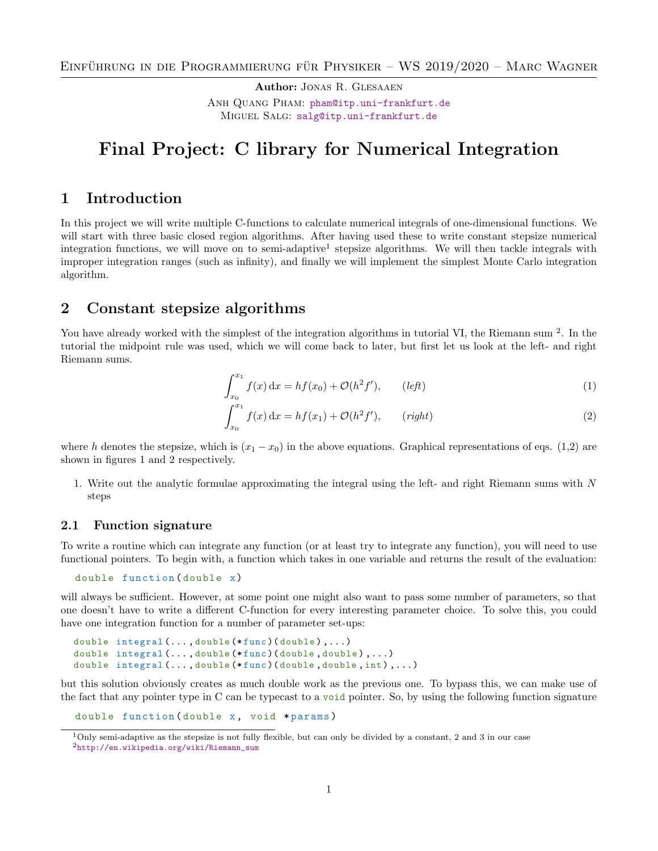Author: Jonas R. Glesaaen Anh Quang Pham: [pham@itp.uni-frankfurt.de](mailto:pham@itp.uni-frankfurt.de) MIGUEL SALG: [salg@itp.uni-frankfurt.de](mailto:salg@itp.uni-frankfurt.de)

# Final Project: C library for Numerical Integration

### 1 Introduction

In this project we will write multiple C-functions to calculate numerical integrals of one-dimensional functions. We will start with three basic closed region algorithms. After having used these to write constant stepsize numerical integration functions, we will move on to semi-adaptive<sup>[1](#page-0-0)</sup> stepsize algorithms. We will then tackle integrals with improper integration ranges (such as infinity), and finally we will implement the simplest Monte Carlo integration algorithm.

# 2 Constant stepsize algorithms

You have already worked with the simplest of the integration algorithms in tutorial VI, the Riemann sum <sup>[2](#page-0-1)</sup>. In the tutorial the midpoint rule was used, which we will come back to later, but first let us look at the left- and right Riemann sums.

<span id="page-0-2"></span>
$$
\int_{x_0}^{x_1} f(x) dx = h f(x_0) + \mathcal{O}(h^2 f'), \qquad (left)
$$
\n(1)

<span id="page-0-3"></span>
$$
\int_{x_0}^{x_1} f(x) dx = h f(x_1) + \mathcal{O}(h^2 f'), \qquad (right)
$$
 (2)

where h denotes the stepsize, which is  $(x_1 - x_0)$  in the above equations. Graphical representations of eqs. [\(1,](#page-0-2)[2\)](#page-0-3) are shown in figures [1](#page-1-0) and [2](#page-1-0) respectively.

1. Write out the analytic formulae approximating the integral using the left- and right Riemann sums with N steps

### 2.1 Function signature

To write a routine which can integrate any function (or at least try to integrate any function), you will need to use functional pointers. To begin with, a function which takes in one variable and returns the result of the evaluation:

```
double function (double x)
```
will always be sufficient. However, at some point one might also want to pass some number of parameters, so that one doesn't have to write a different C-function for every interesting parameter choice. To solve this, you could have one integration function for a number of parameter set-ups:

```
double integral (..., double (*func) (double),...)
double integral (..., double (*func) (double, double),...)
double integral (..., double (*func) (double, double, int),...)
```
but this solution obviously creates as much double work as the previous one. To bypass this, we can make use of the fact that any pointer type in C can be typecast to a void pointer. So, by using the following function signature

```
double function (double x, void *params)
```
<span id="page-0-1"></span><span id="page-0-0"></span> $1$ Only semi-adaptive as the stepsize is not fully flexible, but can only be divided by a constant, 2 and 3 in our case <sup>2</sup>[http://en.wikipedia.org/wiki/Riemann\\_sum](http://en.wikipedia.org/wiki/Riemann_sum)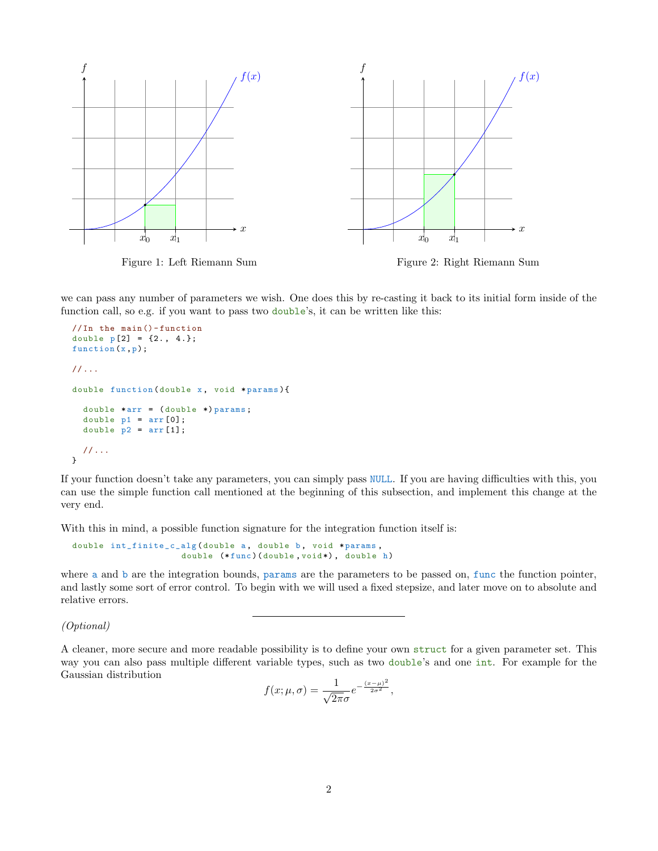<span id="page-1-0"></span>

we can pass any number of parameters we wish. One does this by re-casting it back to its initial form inside of the function call, so e.g. if you want to pass two double's, it can be written like this:

```
// In the main () - function
double p[2] = \{2., 4.\};function (x,p);
// ...
double function (double x, void *params) {
  double *arr = (double *)params;double p1 = arr[0];
  double p2 = arr[1];
  // ...
}
```
If your function doesn't take any parameters, you can simply pass NULL. If you are having difficulties with this, you can use the simple function call mentioned at the beginning of this subsection, and implement this change at the very end.

With this in mind, a possible function signature for the integration function itself is:

$$
\begin{array}{cccc}\n\text{double int} \text{finite\_c\_alg} \text{(double a, double b, void *params,} \\
\text{double (*func)} \text{(double, void*), double h)}\n\end{array}
$$

where a and b are the integration bounds, params are the parameters to be passed on, func the function pointer, and lastly some sort of error control. To begin with we will used a fixed stepsize, and later move on to absolute and relative errors.

(Optional)

A cleaner, more secure and more readable possibility is to define your own struct for a given parameter set. This way you can also pass multiple different variable types, such as two double's and one int. For example for the Gaussian distribution

$$
f(x; \mu, \sigma) = \frac{1}{\sqrt{2\pi}\sigma} e^{-\frac{(x-\mu)^2}{2\sigma^2}},
$$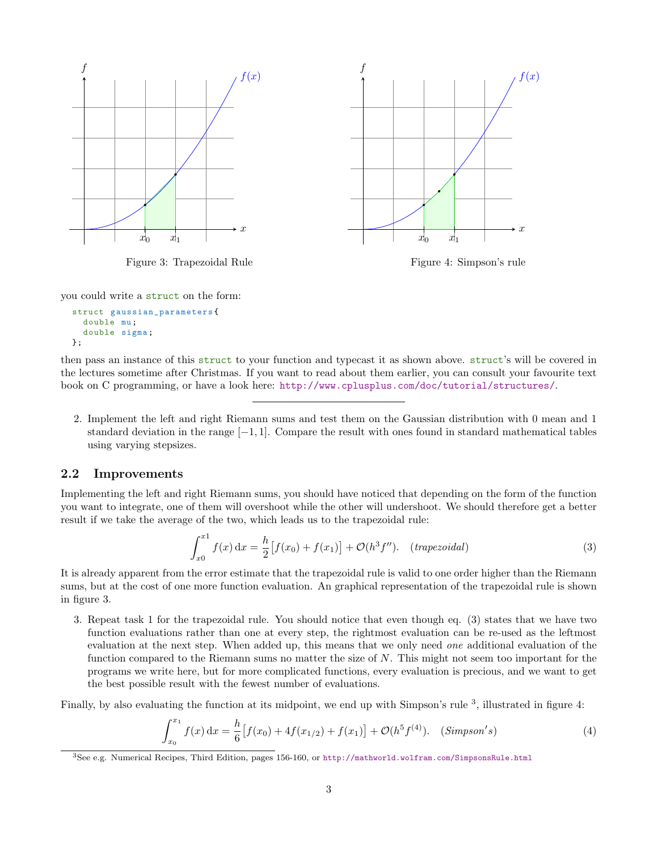<span id="page-2-0"></span>

Figure 3: Trapezoidal Rule

Figure 4: Simpson's rule

you could write a struct on the form:

```
struct gaussian_parameters {
  double mu;
  double sigma ;
};
```
then pass an instance of this struct to your function and typecast it as shown above. struct's will be covered in the lectures sometime after Christmas. If you want to read about them earlier, you can consult your favourite text book on C programming, or have a look here: <http://www.cplusplus.com/doc/tutorial/structures/>.

2. Implement the left and right Riemann sums and test them on the Gaussian distribution with 0 mean and 1 standard deviation in the range  $[-1, 1]$ . Compare the result with ones found in standard mathematical tables using varying stepsizes.

#### 2.2 Improvements

Implementing the left and right Riemann sums, you should have noticed that depending on the form of the function you want to integrate, one of them will overshoot while the other will undershoot. We should therefore get a better result if we take the average of the two, which leads us to the trapezoidal rule:

<span id="page-2-1"></span>
$$
\int_{x0}^{x1} f(x) dx = \frac{h}{2} [f(x_0) + f(x_1)] + \mathcal{O}(h^3 f''). \quad (trapezoidal)
$$
 (3)

It is already apparent from the error estimate that the trapezoidal rule is valid to one order higher than the Riemann sums, but at the cost of one more function evaluation. An graphical representation of the trapezoidal rule is shown in figure [3.](#page-2-0)

3. Repeat task 1 for the trapezoidal rule. You should notice that even though eq. [\(3\)](#page-2-1) states that we have two function evaluations rather than one at every step, the rightmost evaluation can be re-used as the leftmost evaluation at the next step. When added up, this means that we only need one additional evaluation of the function compared to the Riemann sums no matter the size of N. This might not seem too important for the programs we write here, but for more complicated functions, every evaluation is precious, and we want to get the best possible result with the fewest number of evaluations.

Finally, by also evaluating the function at its midpoint, we end up with Simpson's rule <sup>[3](#page-2-2)</sup>, illustrated in figure [4:](#page-2-0)

$$
\int_{x_0}^{x_1} f(x) dx = \frac{h}{6} \left[ f(x_0) + 4f(x_{1/2}) + f(x_1) \right] + \mathcal{O}(h^5 f^{(4)}). \quad (\text{Simpson's})
$$
 (4)

<span id="page-2-2"></span><sup>3</sup>See e.g. Numerical Recipes, Third Edition, pages 156-160, or <http://mathworld.wolfram.com/SimpsonsRule.html>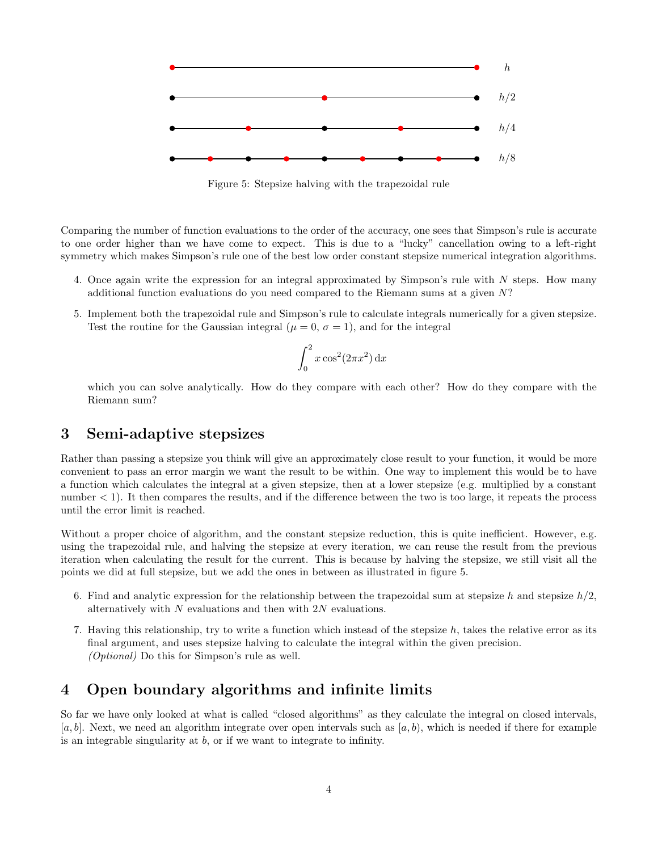<span id="page-3-0"></span>

Figure 5: Stepsize halving with the trapezoidal rule

Comparing the number of function evaluations to the order of the accuracy, one sees that Simpson's rule is accurate to one order higher than we have come to expect. This is due to a "lucky" cancellation owing to a left-right symmetry which makes Simpson's rule one of the best low order constant stepsize numerical integration algorithms.

- 4. Once again write the expression for an integral approximated by Simpson's rule with N steps. How many additional function evaluations do you need compared to the Riemann sums at a given N?
- 5. Implement both the trapezoidal rule and Simpson's rule to calculate integrals numerically for a given stepsize. Test the routine for the Gaussian integral ( $\mu = 0$ ,  $\sigma = 1$ ), and for the integral

$$
\int_0^2 x \cos^2(2\pi x^2) \,\mathrm{d}x
$$

which you can solve analytically. How do they compare with each other? How do they compare with the Riemann sum?

### 3 Semi-adaptive stepsizes

Rather than passing a stepsize you think will give an approximately close result to your function, it would be more convenient to pass an error margin we want the result to be within. One way to implement this would be to have a function which calculates the integral at a given stepsize, then at a lower stepsize (e.g. multiplied by a constant number  $\lt 1$ ). It then compares the results, and if the difference between the two is too large, it repeats the process until the error limit is reached.

Without a proper choice of algorithm, and the constant stepsize reduction, this is quite inefficient. However, e.g. using the trapezoidal rule, and halving the stepsize at every iteration, we can reuse the result from the previous iteration when calculating the result for the current. This is because by halving the stepsize, we still visit all the points we did at full stepsize, but we add the ones in between as illustrated in figure [5.](#page-3-0)

- 6. Find and analytic expression for the relationship between the trapezoidal sum at stepsize h and stepsize  $h/2$ , alternatively with  $N$  evaluations and then with  $2N$  evaluations.
- 7. Having this relationship, try to write a function which instead of the stepsize  $h$ , takes the relative error as its final argument, and uses stepsize halving to calculate the integral within the given precision. (Optional) Do this for Simpson's rule as well.

## 4 Open boundary algorithms and infinite limits

So far we have only looked at what is called "closed algorithms" as they calculate the integral on closed intervals,  $[a, b]$ . Next, we need an algorithm integrate over open intervals such as  $[a, b]$ , which is needed if there for example is an integrable singularity at b, or if we want to integrate to infinity.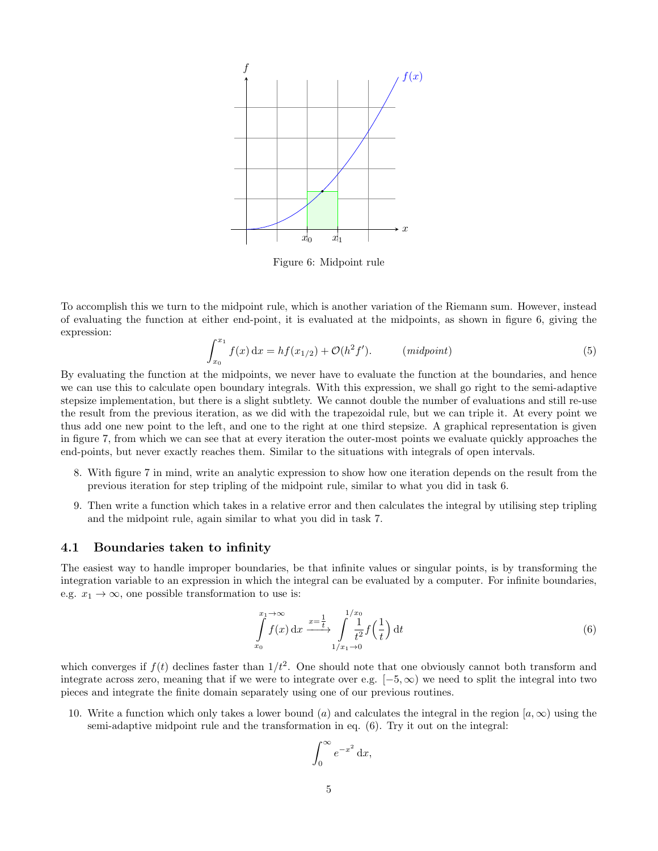<span id="page-4-0"></span>

Figure 6: Midpoint rule

To accomplish this we turn to the midpoint rule, which is another variation of the Riemann sum. However, instead of evaluating the function at either end-point, it is evaluated at the midpoints, as shown in figure [6,](#page-4-0) giving the expression:

$$
\int_{x_0}^{x_1} f(x) dx = h f(x_{1/2}) + \mathcal{O}(h^2 f'). \qquad (midpoint)
$$
 (5)

By evaluating the function at the midpoints, we never have to evaluate the function at the boundaries, and hence we can use this to calculate open boundary integrals. With this expression, we shall go right to the semi-adaptive stepsize implementation, but there is a slight subtlety. We cannot double the number of evaluations and still re-use the result from the previous iteration, as we did with the trapezoidal rule, but we can triple it. At every point we thus add one new point to the left, and one to the right at one third stepsize. A graphical representation is given in figure [7,](#page-5-0) from which we can see that at every iteration the outer-most points we evaluate quickly approaches the end-points, but never exactly reaches them. Similar to the situations with integrals of open intervals.

- 8. With figure [7](#page-5-0) in mind, write an analytic expression to show how one iteration depends on the result from the previous iteration for step tripling of the midpoint rule, similar to what you did in task 6.
- 9. Then write a function which takes in a relative error and then calculates the integral by utilising step tripling and the midpoint rule, again similar to what you did in task 7.

#### 4.1 Boundaries taken to infinity

The easiest way to handle improper boundaries, be that infinite values or singular points, is by transforming the integration variable to an expression in which the integral can be evaluated by a computer. For infinite boundaries, e.g.  $x_1 \rightarrow \infty$ , one possible transformation to use is:

<span id="page-4-1"></span>
$$
\int_{x_0}^{x_1 \to \infty} f(x) dx \xrightarrow{x = \frac{1}{t}} \int_{1/x_1 \to 0}^{1/x_0} \frac{1}{t^2} f\left(\frac{1}{t}\right) dt
$$
\n
$$
(6)
$$

which converges if  $f(t)$  declines faster than  $1/t^2$ . One should note that one obviously cannot both transform and integrate across zero, meaning that if we were to integrate over e.g.  $[-5, \infty)$  we need to split the integral into two pieces and integrate the finite domain separately using one of our previous routines.

10. Write a function which only takes a lower bound (a) and calculates the integral in the region  $[a, \infty)$  using the semi-adaptive midpoint rule and the transformation in eq. [\(6\)](#page-4-1). Try it out on the integral:

$$
\int_0^\infty e^{-x^2} \, \mathrm{d}x,
$$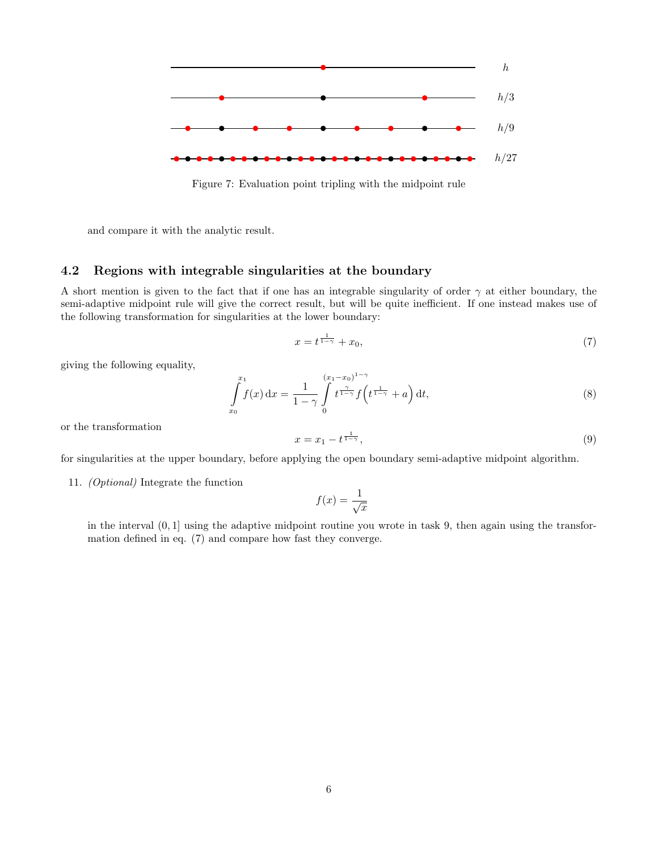<span id="page-5-0"></span>

Figure 7: Evaluation point tripling with the midpoint rule

and compare it with the analytic result.

#### 4.2 Regions with integrable singularities at the boundary

A short mention is given to the fact that if one has an integrable singularity of order  $\gamma$  at either boundary, the semi-adaptive midpoint rule will give the correct result, but will be quite inefficient. If one instead makes use of the following transformation for singularities at the lower boundary:

<span id="page-5-1"></span>
$$
x = t^{\frac{1}{1-\gamma}} + x_0,\tag{7}
$$

giving the following equality,

$$
\int_{x_0}^{x_1} f(x) dx = \frac{1}{1 - \gamma} \int_{0}^{(x_1 - x_0)^{1 - \gamma}} t^{\frac{\gamma}{1 - \gamma}} f\left(t^{\frac{1}{1 - \gamma}} + a\right) dt,
$$
\n(8)

or the transformation

$$
x = x_1 - t^{\frac{1}{1-\gamma}},\tag{9}
$$

for singularities at the upper boundary, before applying the open boundary semi-adaptive midpoint algorithm.

11. (Optional) Integrate the function

$$
f(x) = \frac{1}{\sqrt{x}}
$$

in the interval (0, 1] using the adaptive midpoint routine you wrote in task 9, then again using the transformation defined in eq. [\(7\)](#page-5-1) and compare how fast they converge.